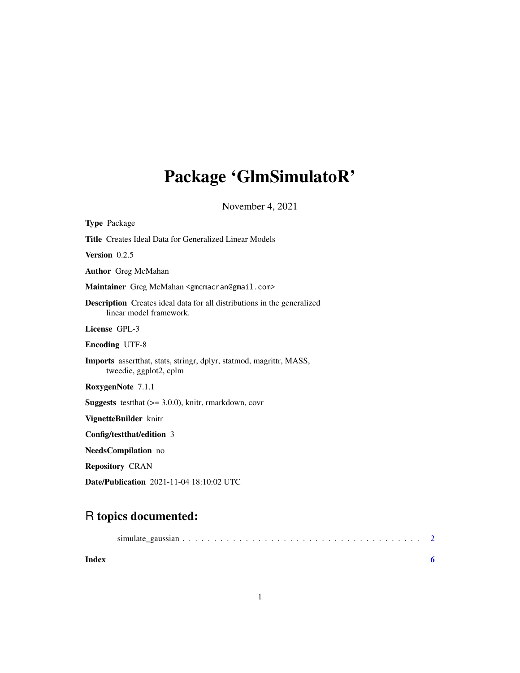# <span id="page-0-0"></span>Package 'GlmSimulatoR'

November 4, 2021

| <b>Type Package</b>                                                                                       |
|-----------------------------------------------------------------------------------------------------------|
| <b>Title</b> Creates Ideal Data for Generalized Linear Models                                             |
| Version $0.2.5$                                                                                           |
| <b>Author</b> Greg McMahan                                                                                |
| Maintainer Greg McMahan <gmcmacran@gmail.com></gmcmacran@gmail.com>                                       |
| <b>Description</b> Creates ideal data for all distributions in the generalized<br>linear model framework. |
| License GPL-3                                                                                             |
| <b>Encoding UTF-8</b>                                                                                     |
| <b>Imports</b> assert that, stats, stringr, dplyr, statmod, magrittr, MASS,<br>tweedie, ggplot2, cplm     |
| RoxygenNote 7.1.1                                                                                         |
| <b>Suggests</b> test that $(>= 3.0.0)$ , knitr, rmarkdown, covr                                           |
| VignetteBuilder knitr                                                                                     |
| Config/testthat/edition 3                                                                                 |
| <b>NeedsCompilation</b> no                                                                                |
| <b>Repository CRAN</b>                                                                                    |
| <b>Date/Publication</b> 2021-11-04 18:10:02 UTC                                                           |

## R topics documented:

| Index |  |  |
|-------|--|--|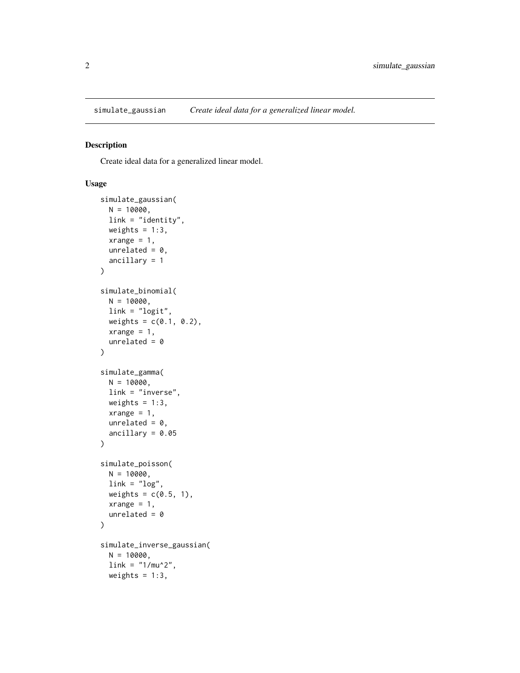<span id="page-1-0"></span>

### Description

Create ideal data for a generalized linear model.

#### Usage

```
simulate_gaussian(
 N = 10000,link = "identity",
 weights = 1:3,
  xrange = 1,
  unrelated = 0,
  ancillary = 1
)
simulate_binomial(
 N = 10000,link = "logit",weights = c(0.1, 0.2),xrange = 1,
  unrelated = \theta)
simulate_gamma(
 N = 10000,link = "inverse",
 weights = 1:3,
  xrange = 1,
  unrelated = 0,
  ancillary = 0.05\mathcal{E}simulate_poisson(
 N = 10000,link = "log",weights = c(0.5, 1),
  xrange = 1,
  unrelated = \theta\mathcal{L}simulate_inverse_gaussian(
 N = 10000,link = "1/mu^2",weights = 1:3,
```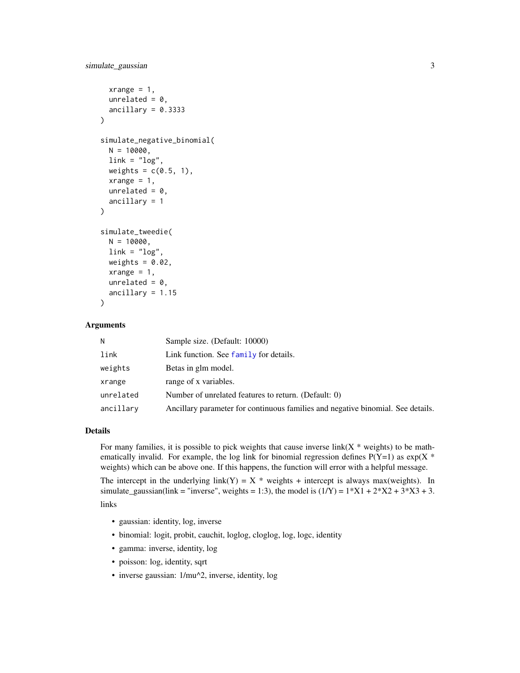```
xrange = 1,
  unrelated = 0,
  ancillary = 0.3333\lambdasimulate_negative_binomial(
 N = 10000,\text{link} = \text{"log"},
  weights = c(0.5, 1),
  xrange = 1,
  unrelated = 0,
  ancillary = 1
)
simulate_tweedie(
  N = 10000,
  \text{link} = \text{"log"},
  weights = 0.02,
  xrange = 1,
  unrelated = 0,
  ancillary = 1.15
\lambda
```
#### Arguments

| N         | Sample size. (Default: 10000)                                                   |
|-----------|---------------------------------------------------------------------------------|
| link      | Link function. See family for details.                                          |
| weights   | Betas in glm model.                                                             |
| xrange    | range of x variables.                                                           |
| unrelated | Number of unrelated features to return. (Default: 0)                            |
| ancillary | Ancillary parameter for continuous families and negative binomial. See details. |

### Details

For many families, it is possible to pick weights that cause inverse link $(X^*$  weights) to be mathematically invalid. For example, the log link for binomial regression defines  $P(Y=1)$  as  $exp(X^*)$ weights) which can be above one. If this happens, the function will error with a helpful message.

The intercept in the underlying link(Y) = X \* weights + intercept is always max(weights). In simulate\_gaussian(link = "inverse", weights = 1:3), the model is  $(1/Y) = 1*X1 + 2*X2 + 3*X3 + 3$ .

links

- gaussian: identity, log, inverse
- binomial: logit, probit, cauchit, loglog, cloglog, log, logc, identity
- gamma: inverse, identity, log
- poisson: log, identity, sqrt
- inverse gaussian: 1/mu^2, inverse, identity, log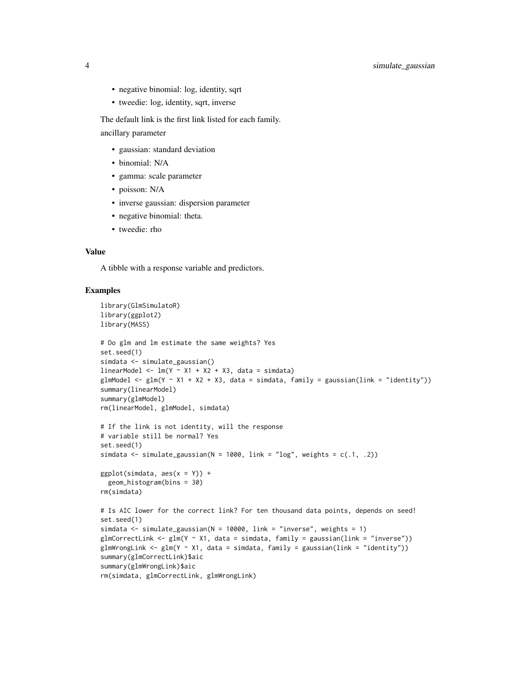- negative binomial: log, identity, sqrt
- tweedie: log, identity, sqrt, inverse

The default link is the first link listed for each family. ancillary parameter

- gaussian: standard deviation
- binomial: N/A
- gamma: scale parameter
- poisson: N/A
- inverse gaussian: dispersion parameter
- negative binomial: theta.
- tweedie: rho

#### Value

A tibble with a response variable and predictors.

#### Examples

```
library(GlmSimulatoR)
library(ggplot2)
library(MASS)
# Do glm and lm estimate the same weights? Yes
set.seed(1)
simdata <- simulate_gaussian()
linearModel <- lm(Y \sim X1 + X2 + X3, data = simdata)glmModel \leq glm(Y \sim X1 + X2 + X3, data = simdata, family = gaussian(link = "identity"))
summary(linearModel)
summary(glmModel)
rm(linearModel, glmModel, simdata)
# If the link is not identity, will the response
# variable still be normal? Yes
set.seed(1)
simdata \le simulate_gaussian(N = 1000, link = "log", weights = c(.1, .2))
ggplot(simdata, aes(x = Y)) +geom_histogram(bins = 30)
rm(simdata)
# Is AIC lower for the correct link? For ten thousand data points, depends on seed!
set.seed(1)
simdata \le simulate_gaussian(N = 10000, link = "inverse", weights = 1)
glmCorrectLink <- glm(Y \sim X1), data = simdata, family = gaussian(link = "inverse"))
glmWrongLink <- glm(Y ~ X1, data = simdata, family = gaussian(link = "identity"))
summary(glmCorrectLink)$aic
summary(glmWrongLink)$aic
rm(simdata, glmCorrectLink, glmWrongLink)
```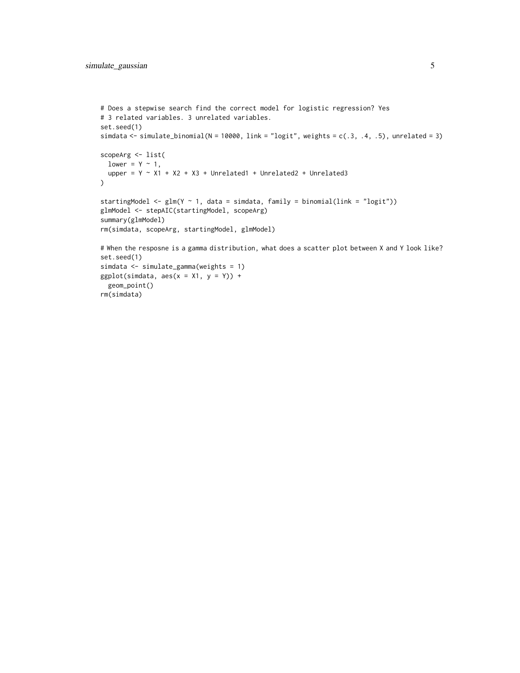```
# Does a stepwise search find the correct model for logistic regression? Yes
# 3 related variables. 3 unrelated variables.
set.seed(1)
simdata <- simulate_binomial(N = 10000, link = "logit", weights = c(.3, .4, .5), unrelated = 3)
scopeArg <- list(
 lower = Y \sim 1,
 upper = Y \sim X1 + X2 + X3 + Unrelated1 + Unrelated2 + Unrelated3
)
startingModel <- glm(Y \sim 1, data = simdata, family = binomial(link = "logit"))glmModel <- stepAIC(startingModel, scopeArg)
summary(glmModel)
rm(simdata, scopeArg, startingModel, glmModel)
# When the resposne is a gamma distribution, what does a scatter plot between X and Y look like?
set.seed(1)
simdata <- simulate_gamma(weights = 1)
ggplot(simdata, aes(x = X1, y = Y)) +geom_point()
rm(simdata)
```